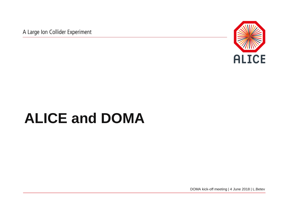A Large Ion Collider Experiment



# **ALICE and DOMA**

DOMA kick-off meeting | 4 June 2018 | L.Betev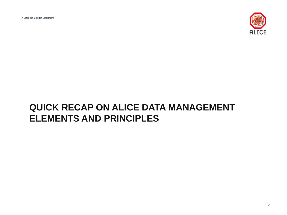

#### **QUICK RECAP ON ALICE DATA MANAGEMENT ELEMENTS AND PRINCIPLES**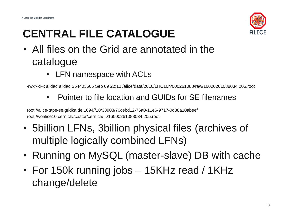

# **CENTRAL FILE CATALOGUE**

- All files on the Grid are annotated in the catalogue
	- LFN namespace with ACLs

-rwxr-xr-x alidaq alidaq 264403565 Sep 09 22:10 /alice/data/2016/LHC16n/000261088/raw/16000261088034.205.root

• Pointer to file location and GUIDs for SE filenames

root://alice-tape-se.gridka.de:1094//10/33903/76cebd12-76a0-11e6-9717-0d38a10abeef root://voalice10.cern.ch//castor/cern.ch/.../16000261088034.205.root

- 5billion LFNs, 3billion physical files (archives of multiple logically combined LFNs)
- Running on MySQL (master-slave) DB with cache
- For 150k running jobs 15KHz read / 1KHz change/delete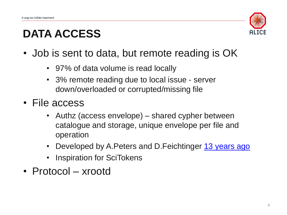

#### **DATA ACCESS**

- Job is sent to data, but remote reading is OK
	- 97% of data volume is read locally
	- 3% remote reading due to local issue server down/overloaded or corrupted/missing file
- File access
	- Authz (access envelope) shared cypher between catalogue and storage, unique envelope per file and operation
	- Developed by A. Peters and D. Feichtinger [13 years ago](https://ieeexplore.ieee.org/stamp/stamp.jsp?tp=&arnumber=1542739&tag=1)
	- **Inspiration for SciTokens**
- Protocol xrootd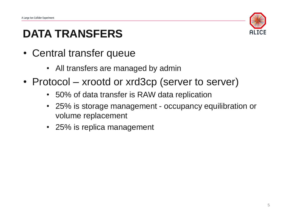

#### **DATA TRANSFERS**

- Central transfer queue
	- All transfers are managed by admin
- Protocol xrootd or xrd3cp (server to server)
	- 50% of data transfer is RAW data replication
	- 25% is storage management occupancy equilibration or volume replacement
	- 25% is replica management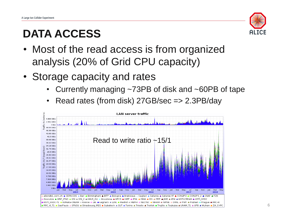## **DATA ACCESS**



- Most of the read access is from organized analysis (20% of Grid CPU capacity)
- Storage capacity and rates
	- Currently managing ~73PB of disk and ~60PB of tape
	- Read rates (from disk) 27GB/sec => 2.3PB/day

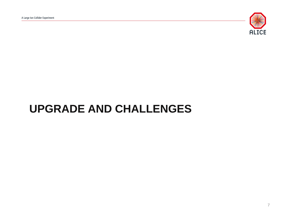

#### **UPGRADE AND CHALLENGES**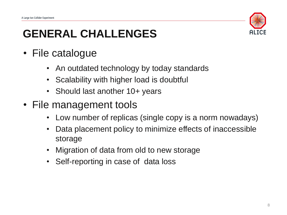

#### **GENERAL CHALLENGES**

- File catalogue
	- An outdated technology by today standards
	- Scalability with higher load is doubtful
	- Should last another 10+ years
- File management tools
	- Low number of replicas (single copy is a norm nowadays)
	- Data placement policy to minimize effects of inaccessible storage
	- Migration of data from old to new storage
	- Self-reporting in case of data loss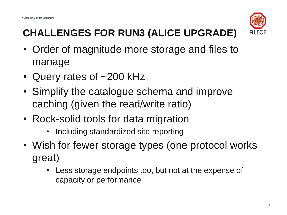

### **CHALLENGES FOR RUN3 (ALICE UPGRADE)**

- Order of magnitude more storage and files to manage
- Query rates of ~200 kHz
- Simplify the catalogue schema and improve caching (given the read/write ratio)
- Rock-solid tools for data migration
	- Including standardized site reporting
- Wish for fewer storage types (one protocol works great)
	- Less storage endpoints too, but not at the expense of capacity or performance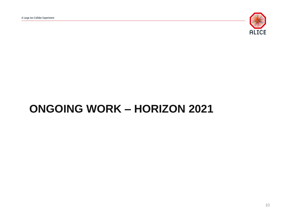

#### **ONGOING WORK – HORIZON 2021**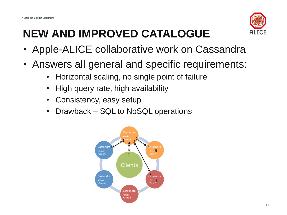

## **NEW AND IMPROVED CATALOGUE**

- Apple-ALICE collaborative work on Cassandra
- Answers all general and specific requirements:
	- Horizontal scaling, no single point of failure
	- High query rate, high availability
	- Consistency, easy setup
	- Drawback SQL to NoSQL operations

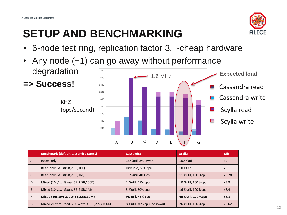### **SETUP AND BENCHMARKING**



- 6-node test ring, replication factor 3, ~cheap hardware
- Any node (+1) can go away without performance degradation **1800**



|              | <b>Benchmark (default cassandra-stress)</b>       | Cassandra,                   | <b>Scylla</b>      | <b>Diff</b>    |
|--------------|---------------------------------------------------|------------------------------|--------------------|----------------|
| A            | Insert only                                       | 18 %util, 2% iowait          | 100 %util          | x <sub>2</sub> |
| B            | Read-only Gauss (5B, 2.5B, 10K)                   | Disk idle, 50% cpu           | 100 %cpu           | x <sub>3</sub> |
| $\mathsf{C}$ | Read-only Gauss(5B,2.5B,1M)                       | 11 % util, 40% cpu           | 11 %util, 100 %cpu | x3.28          |
| D            | Mixed (10r,1w) Gauss(5B,2.5B,100K)                | 2 % util, 45% cpu            | 10 %util, 100 %cpu | x5.8           |
| E            | Mixed (10r,1w) Gauss(5B,2.5B,1M)                  | 5 % util, 50% cpu            | 16 %util, 100 %cpu | x6.4           |
| F            | Mixed (10r,1w) Gauss(5B,2.5B,10M)                 | 9% util, 45% cpu             | 40 %util, 100 %cpu | x6.1           |
| G            | Mixed 2K thrd. read, 200 write, G(5B, 2.5B, 100K) | 8 % util, 40% cpu, no iowait | 26 %util, 100 %cpu | x5.62          |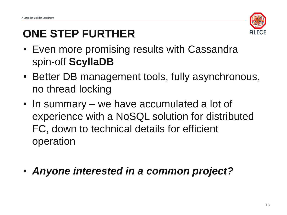

#### **ONE STEP FURTHER**

- Even more promising results with Cassandra spin-off **ScyllaDB**
- Better DB management tools, fully asynchronous, no thread locking
- In summary we have accumulated a lot of experience with a NoSQL solution for distributed FC, down to technical details for efficient operation
- *Anyone interested in a common project?*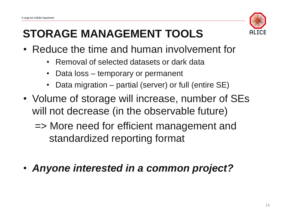

# **STORAGE MANAGEMENT TOOLS**

- Reduce the time and human involvement for
	- Removal of selected datasets or dark data
	- Data loss temporary or permanent
	- Data migration partial (server) or full (entire SE)
- Volume of storage will increase, number of SEs will not decrease (in the observable future)
	- => More need for efficient management and standardized reporting format
- *Anyone interested in a common project?*